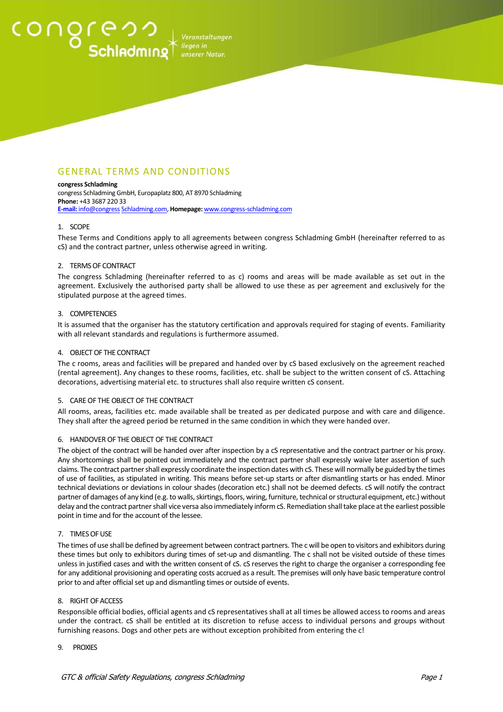# $\begin{array}{l} \text{COMC} \\ \text{Schladming} \end{array} \begin{array}{l} \text{Verastaltung} \\ \text{Nasser Natur.} \end{array}$

Veranstaltungen

# GENERAL TERMS AND CONDITIONS

# **congress Schladming**

congress Schladming GmbH, Europaplatz 800, AT 8970 Schladming **Phone:** +43 3687 220 33 **[E-mail:](mailto:info@congress)** info@congress [Schladming.com,](http://schladming.com/) **Homepage:** [www.congress-schladming.com](http://www.congress-schladming.com/)

# 1. SCOPE

These Terms and Conditions apply to all agreements between congress Schladming GmbH (hereinafter referred to as cS) and the contract partner, unless otherwise agreed in writing.

# 2. TERMS OF CONTRACT

The congress Schladming (hereinafter referred to as c) rooms and areas will be made available as set out in the agreement. Exclusively the authorised party shall be allowed to use these as per agreement and exclusively for the stipulated purpose at the agreed times.

# 3. COMPETENCIES

It is assumed that the organiser has the statutory certification and approvals required for staging of events. Familiarity with all relevant standards and regulations is furthermore assumed.

# 4. OBJECT OF THE CONTRACT

The c rooms, areas and facilities will be prepared and handed over by cS based exclusively on the agreement reached (rental agreement). Any changes to these rooms, facilities, etc. shall be subject to the written consent of cS. Attaching decorations, advertising material etc. to structures shall also require written cS consent.

# 5. CARE OF THE OBJECT OF THE CONTRACT

All rooms, areas, facilities etc. made available shall be treated as per dedicated purpose and with care and diligence. They shall after the agreed period be returned in the same condition in which they were handed over.

# 6. HANDOVER OF THE OBJECT OF THE CONTRACT

The object of the contract will be handed over after inspection by a cS representative and the contract partner or his proxy. Any shortcomings shall be pointed out immediately and the contract partner shall expressly waive later assertion of such claims. The contract partner shall expressly coordinate the inspection dates with cS. These will normally be guided by the times of use of facilities, as stipulated in writing. This means before set-up starts or after dismantling starts or has ended. Minor technical deviations or deviations in colour shades (decoration etc.) shall not be deemed defects. cS will notify the contract partner of damages of any kind (e.g. to walls, skirtings, floors, wiring, furniture, technical or structural equipment, etc.) without delay and the contract partner shall vice versa also immediately inform cS. Remediation shall take place at the earliest possible point in time and for the account of the lessee.

# 7. TIMES OF USE

The times of use shall be defined by agreement between contract partners. The c will be open to visitors and exhibitors during these times but only to exhibitors during times of set-up and dismantling. The c shall not be visited outside of these times unless in justified cases and with the written consent of cS. cS reserves the right to charge the organiser a corresponding fee for any additional provisioning and operating costs accrued as a result. The premises will only have basic temperature control prior to and after official set up and dismantling times or outside of events.

# 8. RIGHT OF ACCESS

Responsible official bodies, official agents and cS representatives shall at all times be allowed access to rooms and areas under the contract. cS shall be entitled at its discretion to refuse access to individual persons and groups without furnishing reasons. Dogs and other pets are without exception prohibited from entering the c!

# 9. PROXIES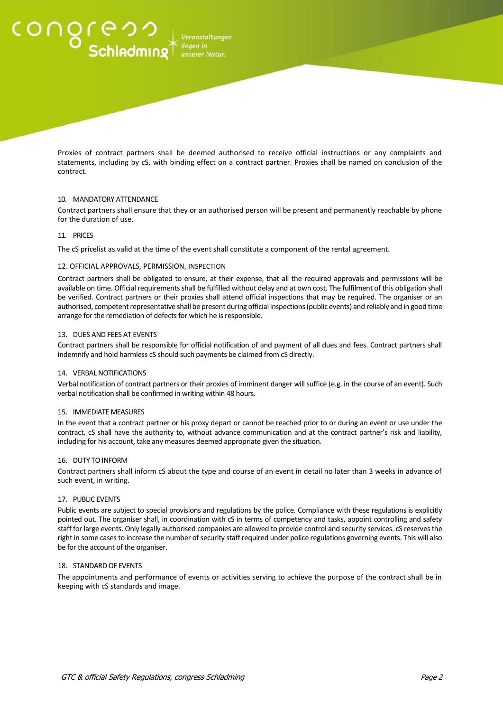Veranstaltungen

Proxies of contract partners shall be deemed authorised to receive official instructions or any complaints and statements, including by cS, with binding effect on a contract partner. Proxies shall be named on conclusion of the contract.

# 10. MANDATORY ATTENDANCE

Contract partners shall ensure that they or an authorised person will be present and permanently reachable by phone for the duration of use.

# 11. PRICES

The cS pricelist as valid at the time of the event shall constitute a component of the rental agreement.

# 12. OFFICIAL APPROVALS, PERMISSION, INSPECTION

Contract partners shall be obligated to ensure, at their expense, that all the required approvals and permissions will be available on time. Official requirements shall be fulfilled without delay and at own cost. The fulfilment of this obligation shall be verified. Contract partners or their proxies shall attend official inspections that may be required. The organiser or an authorised, competent representative shall be present during official inspections (public events) and reliably and in good time arrange for the remediation of defects for which he is responsible.

# 13. DUES AND FEES AT EVENTS

Contract partners shall be responsible for official notification of and payment of all dues and fees. Contract partners shall indemnify and hold harmless cS should such payments be claimed from cS directly.

# 14. VERBAL NOTIFICATIONS

Verbal notification of contract partners or their proxies of imminent danger will suffice (e.g. in the course of an event). Such verbal notification shall be confirmed in writing within 48 hours.

### 15. IMMEDIATE MEASURES

In the event that a contract partner or his proxy depart or cannot be reached prior to or during an event or use under the contract, cS shall have the authority to, without advance communication and at the contract partner's risk and liability, including for his account, take any measures deemed appropriate given the situation.

# 16. DUTY TO INFORM

Contract partners shall inform cS about the type and course of an event in detail no later than 3 weeks in advance of such event, in writing.

# 17. PUBLIC EVENTS

Public events are subject to special provisions and regulations by the police. Compliance with these regulations is explicitly pointed out. The organiser shall, in coordination with cS in terms of competency and tasks, appoint controlling and safety staff for large events. Only legally authorised companies are allowed to provide control and security services. cS reserves the right in some cases to increase the number of security staff required under police regulations governing events. This will also be for the account of the organiser.

### 18. STANDARD OF EVENTS

The appointments and performance of events or activities serving to achieve the purpose of the contract shall be in keeping with cS standards and image.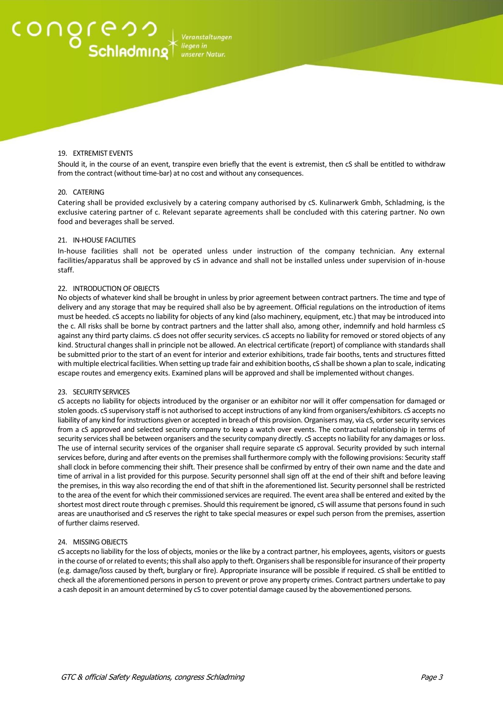# congreっっ<br>schladming

# 19. EXTREMIST EVENTS

Should it, in the course of an event, transpire even briefly that the event is extremist, then cS shall be entitled to withdraw from the contract (without time-bar) at no cost and without any consequences.

# 20. CATERING

Catering shall be provided exclusively by a catering company authorised by cS. Kulinarwerk Gmbh, Schladming, is the exclusive catering partner of c. Relevant separate agreements shall be concluded with this catering partner. No own food and beverages shall be served.

# 21. IN-HOUSE FACILITIES

In-house facilities shall not be operated unless under instruction of the company technician. Any external facilities/apparatus shall be approved by cS in advance and shall not be installed unless under supervision of in-house staff.

# 22. INTRODUCTION OF OBJECTS

No objects of whatever kind shall be brought in unless by prior agreement between contract partners. The time and type of delivery and any storage that may be required shall also be by agreement. Official regulations on the introduction of items must be heeded. cS accepts no liability for objects of any kind (also machinery, equipment, etc.) that may be introduced into the c. All risks shall be borne by contract partners and the latter shall also, among other, indemnify and hold harmless cS against any third party claims. cS does not offer security services. cS accepts no liability for removed or stored objects of any kind. Structural changes shall in principle not be allowed. An electrical certificate (report) of compliance with standards shall be submitted prior to the start of an event for interior and exterior exhibitions, trade fair booths, tents and structures fitted with multiple electrical facilities. When setting up trade fair and exhibition booths, cS shall be shown a plan to scale, indicating escape routes and emergency exits. Examined plans will be approved and shall be implemented without changes.

### 23. SECURITY SERVICES

cS accepts no liability for objects introduced by the organiser or an exhibitor nor will it offer compensation for damaged or stolen goods. cS supervisory staff is not authorised to accept instructions of any kind from organisers/exhibitors. cS accepts no liability of any kind for instructions given or accepted in breach of this provision. Organisers may, via cS, order security services from a cS approved and selected security company to keep a watch over events. The contractual relationship in terms of security services shall be between organisers and the security company directly. cS accepts no liability for any damages or loss. The use of internal security services of the organiser shall require separate cS approval. Security provided by such internal services before, during and after events on the premises shall furthermore comply with the following provisions: Security staff shall clock in before commencing their shift. Their presence shall be confirmed by entry of their own name and the date and time of arrival in a list provided for this purpose. Security personnel shall sign off at the end of their shift and before leaving the premises, in this way also recording the end of that shift in the aforementioned list. Security personnel shall be restricted to the area of the event for which their commissioned services are required. The event area shall be entered and exited by the shortest most direct route through c premises. Should this requirement be ignored, cS will assume that persons found in such areas are unauthorised and cS reserves the right to take special measures or expel such person from the premises, assertion of further claims reserved.

### 24 MISSING OBJECTS

cS accepts no liability for the loss of objects, monies or the like by a contract partner, his employees, agents, visitors or guests in the course of or related to events; this shall also apply to theft. Organisers shall be responsible for insurance of their property (e.g. damage/loss caused by theft, burglary or fire). Appropriate insurance will be possible if required. cS shall be entitled to check all the aforementioned persons in person to prevent or prove any property crimes. Contract partners undertake to pay a cash deposit in an amount determined by cS to cover potential damage caused by the abovementioned persons.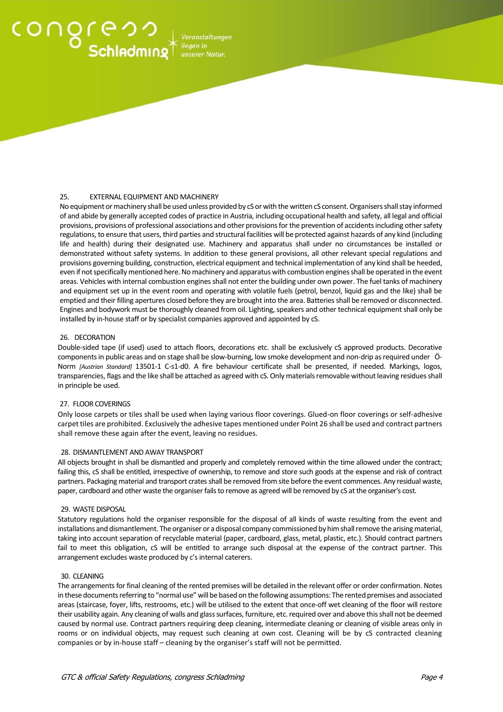# $:$  O N  $\bigcirc$  C  $\cap$  O  $\cap$  Schladming $\uparrow$

# 25. EXTERNAL EQUIPMENT AND MACHINERY

No equipment or machinery shall be used unless provided by cS or with the written cS consent. Organisers shall stay informed of and abide by generally accepted codes of practice in Austria, including occupational health and safety, all legal and official provisions, provisions of professional associations and other provisions for the prevention of accidents including other safety regulations, to ensure that users, third parties and structural facilities will be protected against hazards of any kind (including life and health) during their designated use. Machinery and apparatus shall under no circumstances be installed or demonstrated without safety systems. In addition to these general provisions, all other relevant special regulations and provisions governing building, construction, electrical equipment and technical implementation of any kind shall be heeded, even if not specifically mentioned here. No machinery and apparatus with combustion engines shall be operated in the event areas. Vehicles with internal combustion engines shall not enter the building under own power. The fuel tanks of machinery and equipment set up in the event room and operating with volatile fuels (petrol, benzol, liquid gas and the like) shall be emptied and their filling apertures closed before they are brought into the area. Batteries shall be removed or disconnected. Engines and bodywork must be thoroughly cleaned from oil. Lighting, speakers and other technical equipment shall only be installed by in-house staff or by specialist companies approved and appointed by cS.

# 26. DECORATION

Double-sided tape (if used) used to attach floors, decorations etc. shall be exclusively cS approved products. Decorative components in public areas and on stage shall be slow-burning, low smoke development and non-drip as required under Ö-Norm *[Austrian Standard]* 13501-1 C-s1-d0. A fire behaviour certificate shall be presented, if needed. Markings, logos, transparencies, flags and the like shall be attached as agreed with cS. Only materials removable without leaving residues shall in principle be used.

# 27. FLOOR COVERINGS

Only loose carpets or tiles shall be used when laying various floor coverings. Glued-on floor coverings or self-adhesive carpet tiles are prohibited. Exclusively the adhesive tapes mentioned under Point 26 shall be used and contract partners shall remove these again after the event, leaving no residues.

### 28. DISMANTLEMENT AND AWAY TRANSPORT

All objects brought in shall be dismantled and properly and completely removed within the time allowed under the contract; failing this, cS shall be entitled, irrespective of ownership, to remove and store such goods at the expense and risk of contract partners. Packaging material and transport crates shall be removed from site before the event commences. Any residual waste, paper, cardboard and other waste the organiser fails to remove as agreed will be removed by cS at the organiser's cost.

### 29. WASTE DISPOSAL

Statutory regulations hold the organiser responsible for the disposal of all kinds of waste resulting from the event and installations and dismantlement. The organiser or a disposal company commissioned by him shall remove the arising material, taking into account separation of recyclable material (paper, cardboard, glass, metal, plastic, etc.). Should contract partners fail to meet this obligation, cS will be entitled to arrange such disposal at the expense of the contract partner. This arrangement excludes waste produced by c's internal caterers.

### 30. CLEANING

The arrangements for final cleaning of the rented premises will be detailed in the relevant offer or order confirmation. Notes in these documents referring to "normal use" will be based on the following assumptions: The rented premises and associated areas (staircase, foyer, lifts, restrooms, etc.) will be utilised to the extent that once-off wet cleaning of the floor will restore their usability again. Any cleaning of walls and glass surfaces, furniture, etc. required over and above this shall not be deemed caused by normal use. Contract partners requiring deep cleaning, intermediate cleaning or cleaning of visible areas only in rooms or on individual objects, may request such cleaning at own cost. Cleaning will be by cS contracted cleaning companies or by in-house staff – cleaning by the organiser's staff will not be permitted.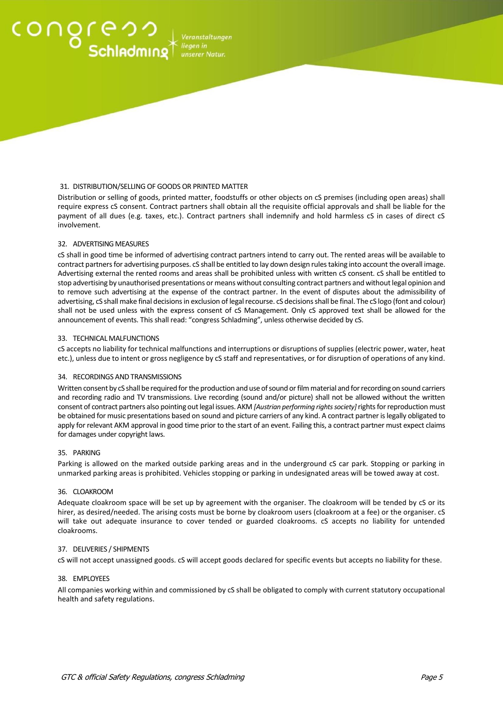# $\begin{array}{l} \text{COMC} \\ \text{Schladming} \end{array} \begin{array}{l} \text{Verastaltung} \\ \text{Nasser Natur.} \end{array}$

# 31. DISTRIBUTION/SELLING OF GOODS OR PRINTED MATTER

Distribution or selling of goods, printed matter, foodstuffs or other objects on cS premises (including open areas) shall require express cS consent. Contract partners shall obtain all the requisite official approvals and shall be liable for the payment of all dues (e.g. taxes, etc.). Contract partners shall indemnify and hold harmless cS in cases of direct cS involvement.

# 32. ADVERTISING MEASURES

cS shall in good time be informed of advertising contract partners intend to carry out. The rented areas will be available to contract partners for advertising purposes. cS shall be entitled to lay down design rules taking into account the overall image. Advertising external the rented rooms and areas shall be prohibited unless with written cS consent. cS shall be entitled to stop advertising by unauthorised presentations or means without consulting contract partners and without legal opinion and to remove such advertising at the expense of the contract partner. In the event of disputes about the admissibility of advertising, cS shall make final decisions in exclusion of legal recourse. cS decisions shall be final. The cS logo (font and colour) shall not be used unless with the express consent of cS Management. Only cS approved text shall be allowed for the announcement of events. This shall read: "congress Schladming", unless otherwise decided by cS.

# 33. TECHNICAL MALFUNCTIONS

cS accepts no liability for technical malfunctions and interruptions or disruptions of supplies (electric power, water, heat etc.), unless due to intent or gross negligence by cS staff and representatives, or for disruption of operations of any kind.

# 34. RECORDINGS AND TRANSMISSIONS

Written consent by cS shall be required for the production and use of sound or film material and for recording on sound carriers and recording radio and TV transmissions. Live recording (sound and/or picture) shall not be allowed without the written consent of contract partners also pointing out legal issues. AKM *[Austrian performing rightssociety]*rights for reproduction must be obtained for music presentations based on sound and picture carriers of any kind. A contract partner is legally obligated to apply for relevant AKM approval in good time prior to the start of an event. Failing this, a contract partner must expect claims for damages under copyright laws.

# 35. PARKING

Parking is allowed on the marked outside parking areas and in the underground cS car park. Stopping or parking in unmarked parking areas is prohibited. Vehicles stopping or parking in undesignated areas will be towed away at cost.

# 36. CLOAKROOM

Adequate cloakroom space will be set up by agreement with the organiser. The cloakroom will be tended by cS or its hirer, as desired/needed. The arising costs must be borne by cloakroom users (cloakroom at a fee) or the organiser. cS will take out adequate insurance to cover tended or guarded cloakrooms. cS accepts no liability for untended cloakrooms.

# 37. DELIVERIES / SHIPMENTS

cS will not accept unassigned goods. cS will accept goods declared for specific events but accepts no liability for these.

# 38. EMPLOYEES

All companies working within and commissioned by cS shall be obligated to comply with current statutory occupational health and safety regulations.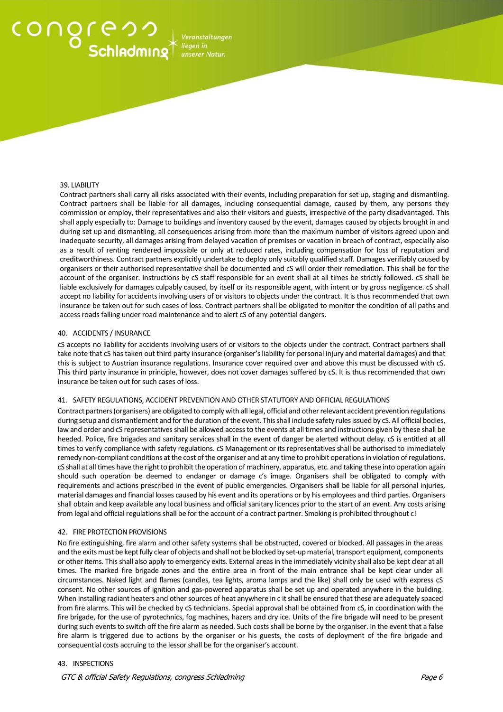# Ongress<br>Schladming

liegen in

# 39. LIABILITY

Contract partners shall carry all risks associated with their events, including preparation for set up, staging and dismantling. Contract partners shall be liable for all damages, including consequential damage, caused by them, any persons they commission or employ, their representatives and also their visitors and guests, irrespective of the party disadvantaged. This shall apply especially to: Damage to buildings and inventory caused by the event, damages caused by objects brought in and during set up and dismantling, all consequences arising from more than the maximum number of visitors agreed upon and inadequate security, all damages arising from delayed vacation of premises or vacation in breach of contract, especially also as a result of renting rendered impossible or only at reduced rates, including compensation for loss of reputation and creditworthiness. Contract partners explicitly undertake to deploy only suitably qualified staff. Damages verifiably caused by organisers or their authorised representative shall be documented and cS will order their remediation. This shall be for the account of the organiser. Instructions by cS staff responsible for an event shall at all times be strictly followed. cS shall be liable exclusively for damages culpably caused, by itself or its responsible agent, with intent or by gross negligence. cS shall accept no liability for accidents involving users of or visitors to objects under the contract. It is thus recommended that own insurance be taken out for such cases of loss. Contract partners shall be obligated to monitor the condition of all paths and access roads falling under road maintenance and to alert cS of any potential dangers.

### 40. ACCIDENTS / INSURANCE

cS accepts no liability for accidents involving users of or visitors to the objects under the contract. Contract partners shall take note that cS has taken out third party insurance (organiser's liability for personal injury and material damages) and that this is subject to Austrian insurance regulations. Insurance cover required over and above this must be discussed with cS. This third party insurance in principle, however, does not cover damages suffered by cS. It is thus recommended that own insurance be taken out for such cases of loss.

# 41. SAFETY REGULATIONS, ACCIDENT PREVENTION AND OTHER STATUTORY AND OFFICIAL REGULATIONS

Contract partners (organisers) are obligated to comply with all legal, official and other relevant accident prevention regulations during setup and dismantlement and for the duration of the event. This shall include safety rules issued by cS. All official bodies, law and order and cS representatives shall be allowed access to the events at all times and instructions given by these shall be heeded. Police, fire brigades and sanitary services shall in the event of danger be alerted without delay. cS is entitled at all times to verify compliance with safety regulations. cS Management or its representatives shall be authorised to immediately remedy non-compliant conditions at the cost of the organiser and at any time to prohibit operations in violation of regulations. cS shall at all times have the right to prohibit the operation of machinery, apparatus, etc. and taking these into operation again should such operation be deemed to endanger or damage c's image. Organisers shall be obligated to comply with requirements and actions prescribed in the event of public emergencies. Organisers shall be liable for all personal injuries, material damages and financial losses caused by his event and its operations or by his employees and third parties. Organisers shall obtain and keep available any local business and official sanitary licences prior to the start of an event. Any costs arising from legal and official regulations shall be for the account of a contract partner. Smoking is prohibited throughout c!

### 42. FIRE PROTECTION PROVISIONS

No fire extinguishing, fire alarm and other safety systems shall be obstructed, covered or blocked. All passages in the areas and the exits must be kept fully clear of objects and shall not be blocked by set-up material, transport equipment, components or other items. This shall also apply to emergency exits. External areas in the immediately vicinity shall also be kept clear at all times. The marked fire brigade zones and the entire area in front of the main entrance shall be kept clear under all circumstances. Naked light and flames (candles, tea lights, aroma lamps and the like) shall only be used with express cS consent. No other sources of ignition and gas-powered apparatus shall be set up and operated anywhere in the building. When installing radiant heaters and other sources of heat anywhere in c it shall be ensured that these are adequately spaced from fire alarms. This will be checked by cS technicians. Special approval shall be obtained from cS, in coordination with the fire brigade, for the use of pyrotechnics, fog machines, hazers and dry ice. Units of the fire brigade will need to be present during such events to switch off the fire alarm as needed. Such costs shall be borne by the organiser. In the event that a false fire alarm is triggered due to actions by the organiser or his guests, the costs of deployment of the fire brigade and consequential costs accruing to the lessor shall be for the organiser's account.

# 43. INSPECTIONS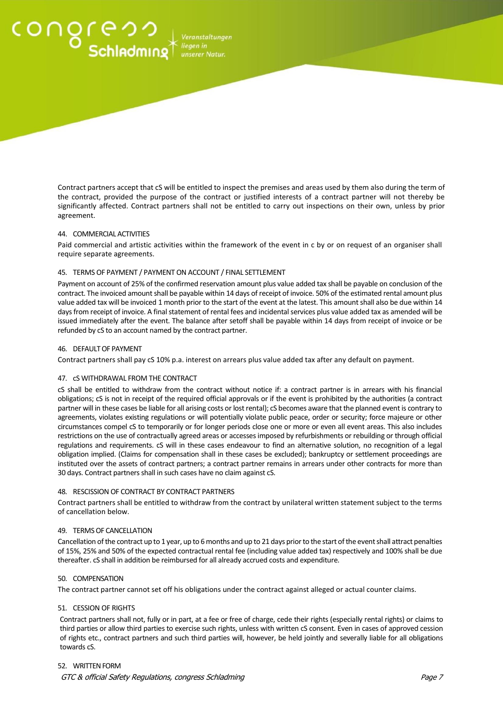Contract partners accept that cS will be entitled to inspect the premises and areas used by them also during the term of the contract, provided the purpose of the contract or justified interests of a contract partner will not thereby be significantly affected. Contract partners shall not be entitled to carry out inspections on their own, unless by prior agreement.

# 44. COMMERCIAL ACTIVITIES

Paid commercial and artistic activities within the framework of the event in c by or on request of an organiser shall require separate agreements.

# 45. TERMS OF PAYMENT / PAYMENT ON ACCOUNT / FINAL SETTLEMENT

Payment on account of 25% of the confirmed reservation amount plus value added tax shall be payable on conclusion of the contract. The invoiced amount shall be payable within 14 days of receipt of invoice. 50% of the estimated rental amount plus value added tax will be invoiced 1 month prior to the start of the event at the latest. This amount shall also be due within 14 days from receipt of invoice. A final statement of rental fees and incidental services plus value added tax as amended will be issued immediately after the event. The balance after setoff shall be payable within 14 days from receipt of invoice or be refunded by cS to an account named by the contract partner.

# 46. DEFAULT OF PAYMENT

Contract partners shall pay cS 10% p.a. interest on arrears plus value added tax after any default on payment.

# 47. cS WITHDRAWAL FROM THE CONTRACT

cS shall be entitled to withdraw from the contract without notice if: a contract partner is in arrears with his financial obligations; cS is not in receipt of the required official approvals or if the event is prohibited by the authorities (a contract partner will in these cases be liable for all arising costs or lost rental); cS becomes aware that the planned event is contrary to agreements, violates existing regulations or will potentially violate public peace, order or security; force majeure or other circumstances compel cS to temporarily or for longer periods close one or more or even all event areas. This also includes restrictions on the use of contractually agreed areas or accesses imposed by refurbishments or rebuilding or through official regulations and requirements. cS will in these cases endeavour to find an alternative solution, no recognition of a legal obligation implied. (Claims for compensation shall in these cases be excluded); bankruptcy or settlement proceedings are instituted over the assets of contract partners; a contract partner remains in arrears under other contracts for more than 30 days. Contract partners shall in such cases have no claim against cS.

# 48. RESCISSION OF CONTRACT BY CONTRACT PARTNERS

Contract partners shall be entitled to withdraw from the contract by unilateral written statement subject to the terms of cancellation below.

# 49. TERMS OF CANCELLATION

Cancellation of the contract up to 1 year, up to 6 months and up to 21 days prior to the start of the event shall attract penalties of 15%, 25% and 50% of the expected contractual rental fee (including value added tax) respectively and 100% shall be due thereafter. cS shall in addition be reimbursed for all already accrued costs and expenditure.

# 50. COMPENSATION

The contract partner cannot set off his obligations under the contract against alleged or actual counter claims.

# 51. CESSION OF RIGHTS

Contract partners shall not, fully or in part, at a fee or free of charge, cede their rights (especially rental rights) or claims to third parties or allow third parties to exercise such rights, unless with written cS consent. Even in cases of approved cession of rights etc., contract partners and such third parties will, however, be held jointly and severally liable for all obligations towards cS.

# 52. WRITTEN FORM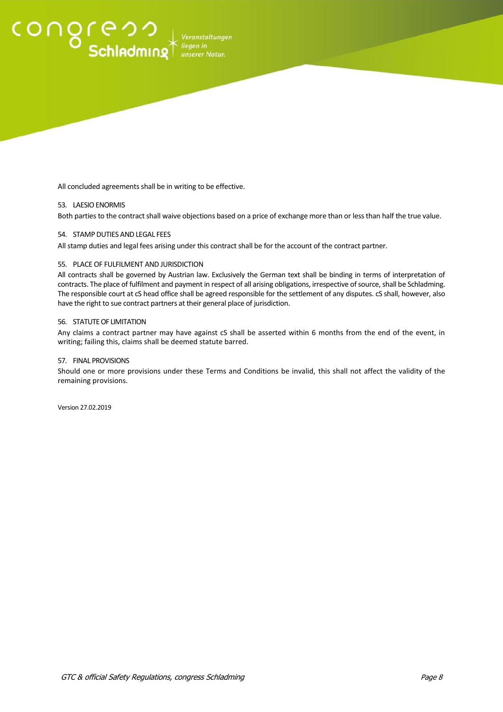# $\text{COMO} \leftarrow \text{SchIndming} \leftarrow \text{Verastaltungen}$

All concluded agreements shall be in writing to be effective.

# 53. LAESIO ENORMIS

Both parties to the contract shall waive objections based on a price of exchange more than or less than half the true value.

# 54. STAMP DUTIES AND LEGAL FEES

All stamp duties and legal fees arising under this contract shall be for the account of the contract partner.

# 55. PLACE OF FULFILMENT AND JURISDICTION

All contracts shall be governed by Austrian law. Exclusively the German text shall be binding in terms of interpretation of contracts. The place of fulfilment and payment in respect of all arising obligations, irrespective of source, shall be Schladming. The responsible court at cS head office shall be agreed responsible for the settlement of any disputes. cS shall, however, also have the right to sue contract partners at their general place of jurisdiction.

# 56. STATUTE OF LIMITATION

Any claims a contract partner may have against cS shall be asserted within 6 months from the end of the event, in writing; failing this, claims shall be deemed statute barred.

# 57. FINAL PROVISIONS

Should one or more provisions under these Terms and Conditions be invalid, this shall not affect the validity of the remaining provisions.

Version 27.02.2019